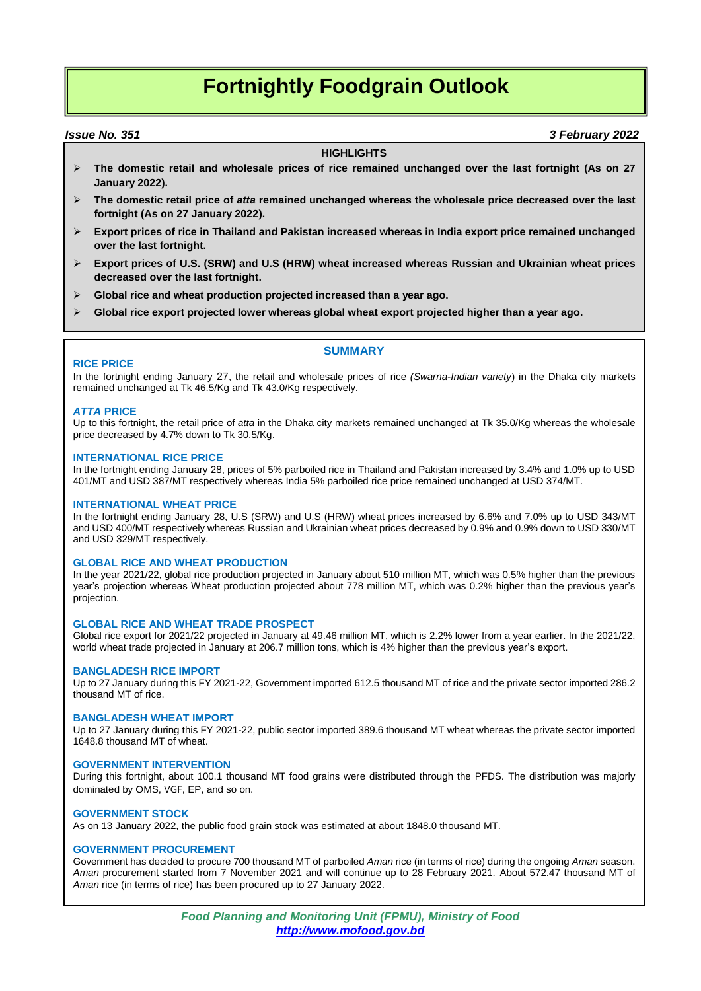# **Fortnightly Foodgrain Outlook**

### *Issue No. 351 3 February 2022*

#### **HIGHLIGHTS**

- **The domestic retail and wholesale prices of rice remained unchanged over the last fortnight (As on 27 January 2022).**
- **The domestic retail price of** *atta* **remained unchanged whereas the wholesale price decreased over the last fortnight (As on 27 January 2022).**
- **Export prices of rice in Thailand and Pakistan increased whereas in India export price remained unchanged over the last fortnight.**
- **Export prices of U.S. (SRW) and U.S (HRW) wheat increased whereas Russian and Ukrainian wheat prices decreased over the last fortnight.**
- **Global rice and wheat production projected increased than a year ago.**
- **Global rice export projected lower whereas global wheat export projected higher than a year ago.**

#### **RICE PRICE**

In the fortnight ending January 27, the retail and wholesale prices of rice *(Swarna-Indian variety*) in the Dhaka city markets remained unchanged at Tk 46.5/Kg and Tk 43.0/Kg respectively.

#### *ATTA* **PRICE**

Up to this fortnight, the retail price of *atta* in the Dhaka city markets remained unchanged at Tk 35.0/Kg whereas the wholesale price decreased by 4.7% down to Tk 30.5/Kg.

**SUMMARY**

#### **INTERNATIONAL RICE PRICE**

In the fortnight ending January 28, prices of 5% parboiled rice in Thailand and Pakistan increased by 3.4% and 1.0% up to USD 401/MT and USD 387/MT respectively whereas India 5% parboiled rice price remained unchanged at USD 374/MT.

#### **INTERNATIONAL WHEAT PRICE**

In the fortnight ending January 28, U.S (SRW) and U.S (HRW) wheat prices increased by 6.6% and 7.0% up to USD 343/MT and USD 400/MT respectively whereas Russian and Ukrainian wheat prices decreased by 0.9% and 0.9% down to USD 330/MT and USD 329/MT respectively.

#### **GLOBAL RICE AND WHEAT PRODUCTION**

In the year 2021/22, global rice production projected in January about 510 million MT, which was 0.5% higher than the previous year's projection whereas Wheat production projected about 778 million MT, which was 0.2% higher than the previous year's projection.

#### **GLOBAL RICE AND WHEAT TRADE PROSPECT**

Global rice export for 2021/22 projected in January at 49.46 million MT, which is 2.2% lower from a year earlier. In the 2021/22, world wheat trade projected in January at 206.7 million tons, which is 4% higher than the previous year's export.

#### **BANGLADESH RICE IMPORT**

Up to 27 January during this FY 2021-22, Government imported 612.5 thousand MT of rice and the private sector imported 286.2 thousand MT of rice.

#### **BANGLADESH WHEAT IMPORT**

Up to 27 January during this FY 2021-22, public sector imported 389.6 thousand MT wheat whereas the private sector imported 1648.8 thousand MT of wheat.

#### **GOVERNMENT INTERVENTION**

During this fortnight, about 100.1 thousand MT food grains were distributed through the PFDS. The distribution was majorly dominated by OMS, VGF, EP, and so on.

#### **GOVERNMENT STOCK**

As on 13 January 2022, the public food grain stock was estimated at about 1848.0 thousand MT.

#### **GOVERNMENT PROCUREMENT**

Government has decided to procure 700 thousand MT of parboiled *Aman* rice (in terms of rice) during the ongoing *Aman* season. *Aman* procurement started from 7 November 2021 and will continue up to 28 February 2021. About 572.47 thousand MT of *Aman* rice (in terms of rice) has been procured up to 27 January 2022.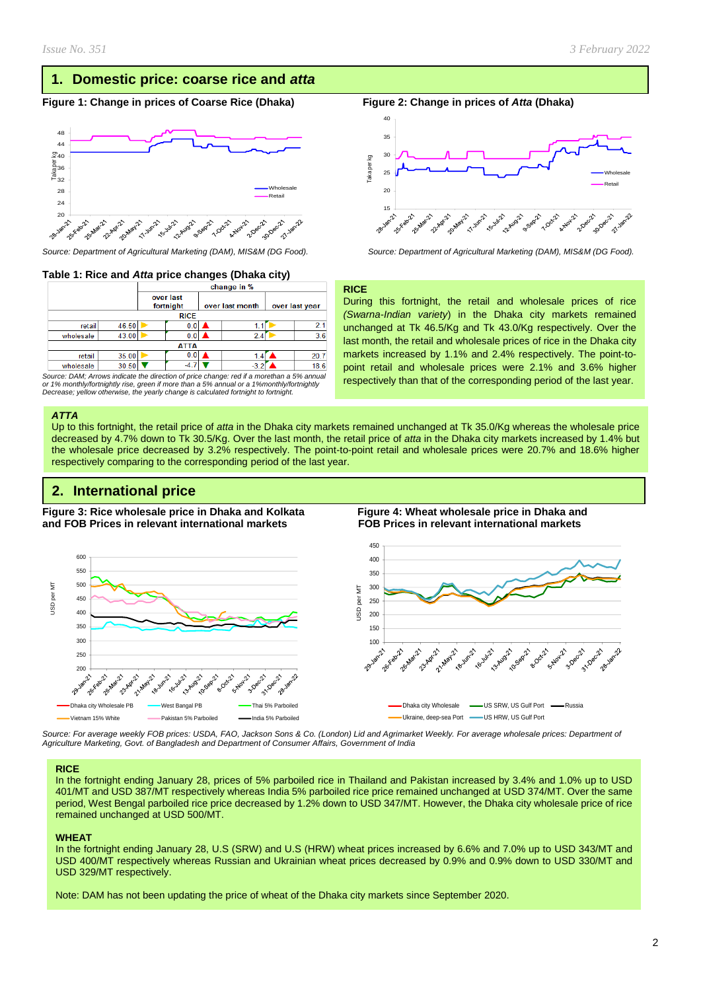### **1. Domestic price: coarse rice and** *atta*

#### **Figure** 1: Change in prices of Coarse Rice (Dhaka) Figure 2: Change in prices of *Atta* (Dhaka)



#### **Table 1: Rice and** *Atta* **price changes (Dhaka city)**

|           |             |       | change in %            |  |     |                 |                |     |      |  |
|-----------|-------------|-------|------------------------|--|-----|-----------------|----------------|-----|------|--|
|           |             |       | over last<br>fortnight |  |     | over last month | over last year |     |      |  |
|           | <b>RICE</b> |       |                        |  |     |                 |                |     |      |  |
|           | retail      | 46.50 |                        |  | UΙ  |                 |                |     | 2.1  |  |
| wholesale |             | 43.00 |                        |  |     | 2.4             |                | 3.6 |      |  |
|           | ATTA        |       |                        |  |     |                 |                |     |      |  |
|           | retail      | 35.00 |                        |  | v.u |                 | 1.4            |     | 20.7 |  |
| wholesale |             | 30.50 |                        |  |     |                 | -3.            |     | 18.6 |  |
|           |             |       |                        |  |     |                 |                |     |      |  |

*Source: DAM; Arrows indicate the direction of price change: red if a morethan a 5% annual or 1% monthly/fortnightly rise, green if more than a 5% annual or a 1%monthly/fortnightly Decrease; yellow otherwise, the yearly change is calculated fortnight to fortnight.*

#### *ATTA*

Up to this fortnight, the retail price of *atta* in the Dhaka city markets remained unchanged at Tk 35.0/Kg whereas the wholesale price decreased by 4.7% down to Tk 30.5/Kg. Over the last month, the retail price of *atta* in the Dhaka city markets increased by 1.4% but the wholesale price decreased by 3.2% respectively. The point-to-point retail and wholesale prices were 20.7% and 18.6% higher respectively comparing to the corresponding period of the last year.

### **2. International price**

**Figure 3: Rice wholesale price in Dhaka and Kolkata Figure 4: Wheat wholesale price in Dhaka and and FOB Prices in relevant international markets FOB Prices in relevant international markets** 





*Source: For average weekly FOB prices: USDA, FAO, Jackson Sons & Co. (London) Lid and Agrimarket Weekly. For average wholesale prices: Department of Agriculture Marketing, Govt. of Bangladesh and Department of Consumer Affairs, Government of India*

#### **RICE**

In the fortnight ending January 28, prices of 5% parboiled rice in Thailand and Pakistan increased by 3.4% and 1.0% up to USD 401/MT and USD 387/MT respectively whereas India 5% parboiled rice price remained unchanged at USD 374/MT. Over the same period, West Bengal parboiled rice price decreased by 1.2% down to USD 347/MT. However, the Dhaka city wholesale price of rice remained unchanged at USD 500/MT.

#### **WHEAT**

In the fortnight ending January 28, U.S (SRW) and U.S (HRW) wheat prices increased by 6.6% and 7.0% up to USD 343/MT and USD 400/MT respectively whereas Russian and Ukrainian wheat prices decreased by 0.9% and 0.9% down to USD 330/MT and USD 329/MT respectively.

Note: DAM has not been updating the price of wheat of the Dhaka city markets since September 2020.



*Source: Department of Agricultural Marketing (DAM), MIS&M (DG Food). Source: Department of Agricultural Marketing (DAM), MIS&M (DG Food).*

#### **RICE**

During this fortnight, the retail and wholesale prices of rice *(Swarna-Indian variety*) in the Dhaka city markets remained unchanged at Tk 46.5/Kg and Tk 43.0/Kg respectively. Over the last month, the retail and wholesale prices of rice in the Dhaka city markets increased by 1.1% and 2.4% respectively. The point-topoint retail and wholesale prices were 2.1% and 3.6% higher respectively than that of the corresponding period of the last year.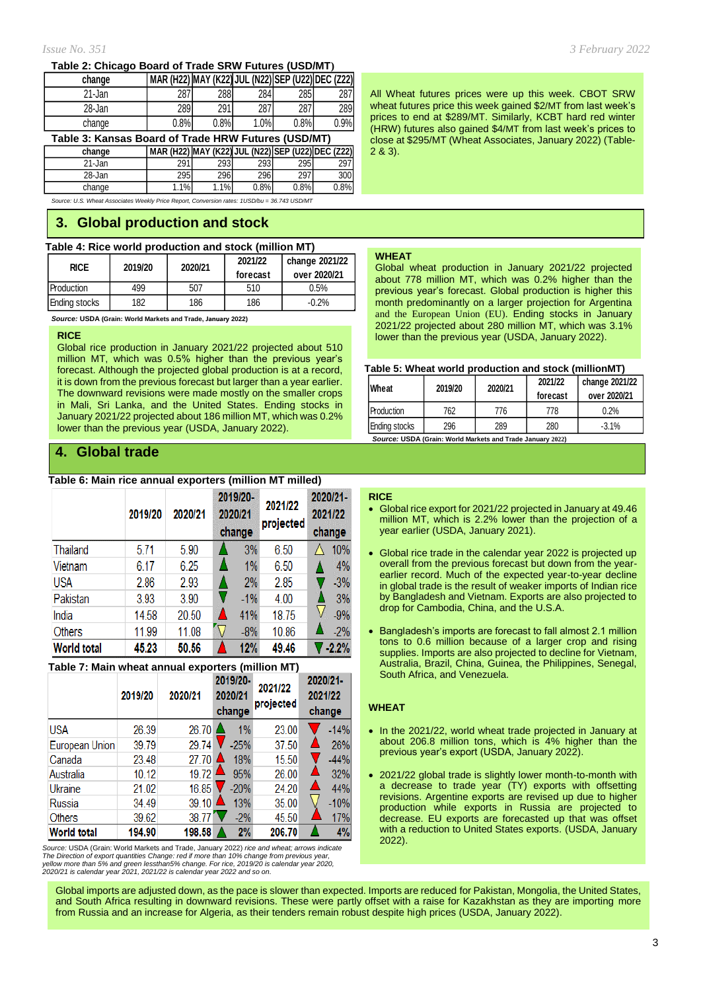#### **Table 2: Chicago Board of Trade SRW Futures (USD/MT)**

| change                                              | MAR (H22) MAY (K22) JUL (N22) SEP (U22) DEC (Z22) |      |      |             |      |  |  |
|-----------------------------------------------------|---------------------------------------------------|------|------|-------------|------|--|--|
| 21-Jan                                              | 287                                               | 288  | 284  | <b>2851</b> | 287I |  |  |
| 28-Jan                                              | 289                                               | 291  | 287  | 287         | 289  |  |  |
| change                                              | 0.8%                                              | 0.8% | 1.0% | 0.8%        | 0.9% |  |  |
| Table 3: Kansas Reard of Trade HDW Eutures (HSD/MT) |                                                   |      |      |             |      |  |  |

**Table 3: Kansas Board of Trade HRW Futures (USD/MT) change MAR (H22) MAY (K22) JUL (N22) SEP (U22) DEC (Z22)**

21-Jan | 291| 293| 293| 295| 297| 28-Jan I 295I 296I 296I 297I 300I

change 1.1% 1.1% 0.8% 0.8% 0.8%

*Source: U.S. Wheat Associates Weekly Price Report, Conversion rates: 1USD/bu = 36.743 USD/MT*

### **3. Global production and stock**

### **Table 4: Rice world production and stock (million MT)**

| <b>RICE</b>   | 2019/20 | 2020/21 | 2021/22<br>forecast | change 2021/22<br>over 2020/21 |
|---------------|---------|---------|---------------------|--------------------------------|
| Production    | 499     | 507     | 510                 | 0.5%                           |
| Ending stocks | 182     | 186     | 186                 | $-0.2%$                        |

*Source:* **USDA (Grain: World Markets and Trade, January 2022)**

#### **RICE**

Global rice production in January 2021/22 projected about 510 million MT, which was 0.5% higher than the previous year's forecast. Although the projected global production is at a record, it is down from the previous forecast but larger than a year earlier. The downward revisions were made mostly on the smaller crops in Mali, Sri Lanka, and the United States. Ending stocks in January 2021/22 projected about 186 million MT, which was 0.2% lower than the previous year (USDA, January 2022).

### **4. Global trade**

#### **Table 6: Main rice annual exporters (million MT milled)**

|                    | 2019/20 | 2020/21 | 2019/20-<br>2020/21<br>change | 2021/22<br>projected | 2020/21-<br>2021/22<br>change |         |
|--------------------|---------|---------|-------------------------------|----------------------|-------------------------------|---------|
| Thailand           | 5.71    | 5.90    | 3%                            | 6.50                 |                               | 10%     |
| Vietnam            | 6.17    | 6.25    | 1%                            | 6.50                 |                               | 4%      |
| <b>USA</b>         | 2.86    | 2.93    | 2%                            | 2.85                 |                               | $-3%$   |
| Pakistan           | 3.93    | 3.90    | $-1\%$                        | 4.00                 |                               | 3%      |
| India              | 14.58   | 20.50   | 41%                           | 18.75                |                               | $-9%$   |
| <b>Others</b>      | 11.99   | 11.08   | $-8%$                         | 10.86                |                               | $-2%$   |
| <b>World total</b> | 45.23   | 50.56   | 12%                           | 49.46                |                               | $-2.2%$ |

#### **Table 7: Main wheat annual exporters (million MT)**

|                    | 2019/20 | 2020/21             | 2019/20-<br>2020/21<br>change | 2021/22<br>projected | 2020/21-<br>2021/22<br>change |
|--------------------|---------|---------------------|-------------------------------|----------------------|-------------------------------|
| <b>USA</b>         | 26.39   | 26.70               | 1%                            | 23.00                | $-14%$                        |
| European Union     | 39.79   | 29.74               | $-25%$                        | 37.50                | 26%                           |
| Canada             | 23.48   | 27.70               | 18%                           | 15.50                | $-44%$                        |
| Australia          | 10.12   | 19.72               | 95%                           | 26.00                | 32%                           |
| Ukraine            | 21.02   | 16.85               | $-20%$                        | 24.20                | 44%                           |
| Russia             | 34.49   | $39.10$ $\triangle$ | 13%                           | 35.00                | $-10%$                        |
| <b>Others</b>      | 39.62   | 38.77               | $-2%$                         | 45.50                | 17%                           |
| <b>World total</b> | 194.90  | 198.58              | 2%                            | 206.70               | 4%                            |

Source: USDA (Grain: World Markets and Trade, January 2022) *rice and wheat; arrows indicate*<br>The Direction of export quantities Change: red if more than 10% change from previous year,<br>yellow more than 5% and green lesstha

*Issue No. 351 3 February 2022*

All Wheat futures prices were up this week. CBOT SRW wheat futures price this week gained \$2/MT from last week's prices to end at \$289/MT. Similarly, KCBT hard red winter (HRW) futures also gained \$4/MT from last week's prices to close at \$295/MT (Wheat Associates, January 2022) (Table-2 & 3).

#### **WHEAT**

Global wheat production in January 2021/22 projected about 778 million MT, which was 0.2% higher than the previous year's forecast. Global production is higher this month predominantly on a larger projection for Argentina and the European Union (EU). Ending stocks in January 2021/22 projected about 280 million MT, which was 3.1% lower than the previous year (USDA, January 2022).

#### **Table 5: Wheat world production and stock (millionMT)**

| Wheat         | 2019/20 | 2020/21 | 2021/22<br>forecast | change 2021/22<br>over 2020/21 |  |  |  |  |
|---------------|---------|---------|---------------------|--------------------------------|--|--|--|--|
| Production    | 762     | 776     | 778                 | 0.2%                           |  |  |  |  |
| Ending stocks | 296     | 289     | 280                 | $-3.1%$                        |  |  |  |  |
|               |         |         |                     |                                |  |  |  |  |

 *Source:* **USDA (Grain: World Markets and Trade January 2022)**

#### **RICE**

- Global rice export for 2021/22 projected in January at 49.46 million MT, which is 2.2% lower than the projection of a year earlier (USDA, January 2021).
- Global rice trade in the calendar year 2022 is projected up overall from the previous forecast but down from the yearearlier record. Much of the expected vear-to-vear decline in global trade is the result of weaker imports of Indian rice by Bangladesh and Vietnam. Exports are also projected to drop for Cambodia, China, and the U.S.A.
- Bangladesh's imports are forecast to fall almost 2.1 million tons to 0.6 million because of a larger crop and rising supplies. Imports are also projected to decline for Vietnam, Australia, Brazil, China, Guinea, the Philippines, Senegal, South Africa, and Venezuela.

#### **WHEAT**

- In the 2021/22, world wheat trade projected in January at about 206.8 million tons, which is 4% higher than the previous year's export (USDA, January 2022).
- 2021/22 global trade is slightly lower month-to-month with a decrease to trade year (TY) exports with offsetting revisions. Argentine exports are revised up due to higher production while exports in Russia are projected to decrease. EU exports are forecasted up that was offset with a reduction to United States exports. (USDA, January 2022).

Global imports are adjusted down, as the pace is slower than expected. Imports are reduced for Pakistan, Mongolia, the United States, and South Africa resulting in downward revisions. These were partly offset with a raise for Kazakhstan as they are importing more from Russia and an increase for Algeria, as their tenders remain robust despite high prices (USDA, January 2022).